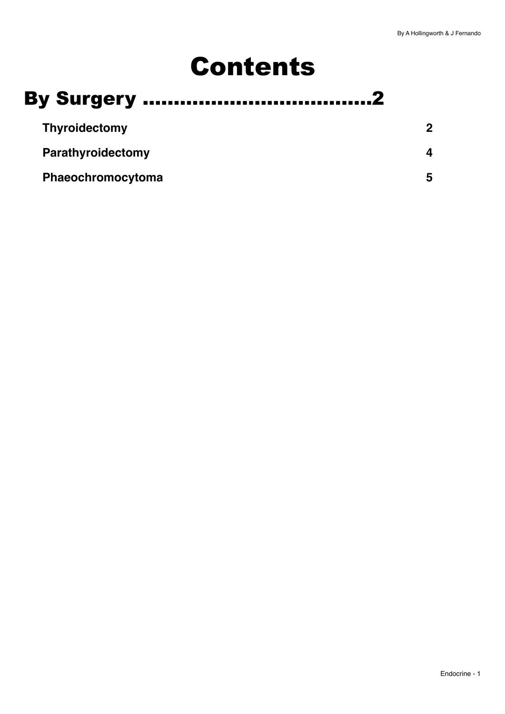# Contents

| <b>Thyroidectomy</b> |   |
|----------------------|---|
| Parathyroidectomy    |   |
| Phaeochromocytoma    | 5 |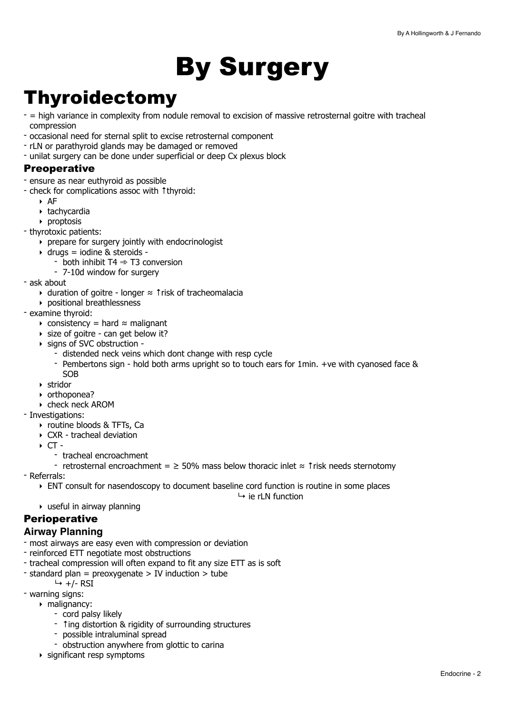# <span id="page-1-0"></span>By Surgery

## <span id="page-1-1"></span>Thyroidectomy

- = high variance in complexity from nodule removal to excision of massive retrosternal goitre with tracheal compression
- occasional need for sternal split to excise retrosternal component
- rLN or parathyroid glands may be damaged or removed
- unilat surgery can be done under superficial or deep Cx plexus block

#### Preoperative

- ensure as near euthyroid as possible
- check for complications assoc with ↑thyroid:
	- ‣ AF
	- ‣ tachycardia
	- ‣ proptosis
- thyrotoxic patients:
	- ‣ prepare for surgery jointly with endocrinologist
	- $\rightarrow$  drugs = iodine & steroids -
		- both inhibit T4  $\Rightarrow$  T3 conversion
		- 7-10d window for surgery
- ask about
	- ‣ duration of goitre longer ≈ ↑risk of tracheomalacia
	- ‣ positional breathlessness
- examine thyroid:
	- ‣ consistency = hard ≈ malignant
	- ‣ size of goitre can get below it?
	- ‣ signs of SVC obstruction
		- distended neck veins which dont change with resp cycle
		- Pembertons sign hold both arms upright so to touch ears for 1min. +ve with cyanosed face & SOB
	- ‣ stridor
	- ‣ orthoponea?
	- ‣ check neck AROM
- Investigations:
	- ‣ routine bloods & TFTs, Ca
	- ‣ CXR tracheal deviation
	- $\cdot$  CT -
		- tracheal encroachment
		- retrosternal encroachment =  $\geq$  50% mass below thoracic inlet  $\approx$  1 risk needs sternotomy

- Referrals:

‣ ENT consult for nasendoscopy to document baseline cord function is routine in some places

 $ightharpoonup$  ie rLN function

 $\rightarrow$  useful in airway planning

#### **Perioperative**

#### **Airway Planning**

- most airways are easy even with compression or deviation
- reinforced ETT negotiate most obstructions
- tracheal compression will often expand to fit any size ETT as is soft
- standard plan = preoxygenate  $>$  IV induction  $>$  tube
	- $\mapsto$  +/- RSI
- warning signs:
	- ‣ malignancy:
		- cord palsy likely
		- ↑ing distortion & rigidity of surrounding structures
		- possible intraluminal spread
		- obstruction anywhere from glottic to carina
	- ‣ significant resp symptoms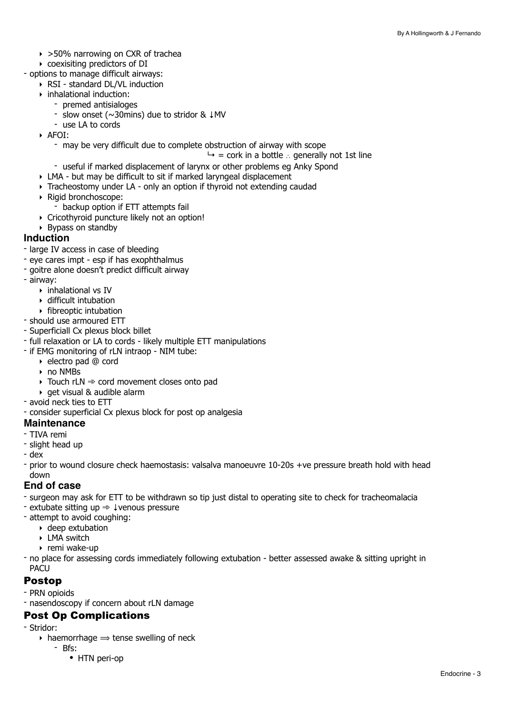- ‣ >50% narrowing on CXR of trachea
- ‣ coexisiting predictors of DI
- options to manage difficult airways:
	- ‣ RSI standard DL/VL induction
		- ‣ inhalational induction:
			- premed antisialoges
			- slow onset (~30mins) due to stridor & ↓MV
			- use LA to cords
		- ‣ AFOI:
			- may be very difficult due to complete obstruction of airway with scope
				- $\rightarrow$  = cork in a bottle ∴ generally not 1st line
			- useful if marked displacement of larynx or other problems eg Anky Spond
		- ‣ LMA but may be difficult to sit if marked laryngeal displacement
	- ‣ Tracheostomy under LA only an option if thyroid not extending caudad
	- ‣ Rigid bronchoscope:
		- backup option if ETT attempts fail
	- ‣ Cricothyroid puncture likely not an option!
	- ‣ Bypass on standby

#### **Induction**

- large IV access in case of bleeding
- eye cares impt esp if has exophthalmus
- goitre alone doesn't predict difficult airway
- airway:
	- ‣ inhalational vs IV
	- ‣ difficult intubation
	- ‣ fibreoptic intubation
- should use armoured ETT
- Superficiall Cx plexus block billet
- full relaxation or LA to cords likely multiple ETT manipulations
- if EMG monitoring of rLN intraop NIM tube:
	- ‣ electro pad @ cord
	- ‣ no NMBs
	- $\rightarrow$  Touch rLN  $\Rightarrow$  cord movement closes onto pad
	- ‣ get visual & audible alarm
- avoid neck ties to ETT
- consider superficial Cx plexus block for post op analgesia

#### **Maintenance**

- TIVA remi
- slight head up
- dex
- prior to wound closure check haemostasis: valsalva manoeuvre 10-20s +ve pressure breath hold with head down

#### **End of case**

- surgeon may ask for ETT to be withdrawn so tip just distal to operating site to check for tracheomalacia
- extubate sitting up ➾ ↓venous pressure
- attempt to avoid coughing:
	- ‣ deep extubation
	- ‣ LMA switch
	- ‣ remi wake-up

- no place for assessing cords immediately following extubation - better assessed awake & sitting upright in PACU

#### Postop

- PRN opioids
- nasendoscopy if concern about rLN damage

#### Post Op Complications

- Stridor:
	- $\rightarrow$  haemorrhage  $\rightarrow$  tense swelling of neck
		- Bfs:
			- HTN peri-op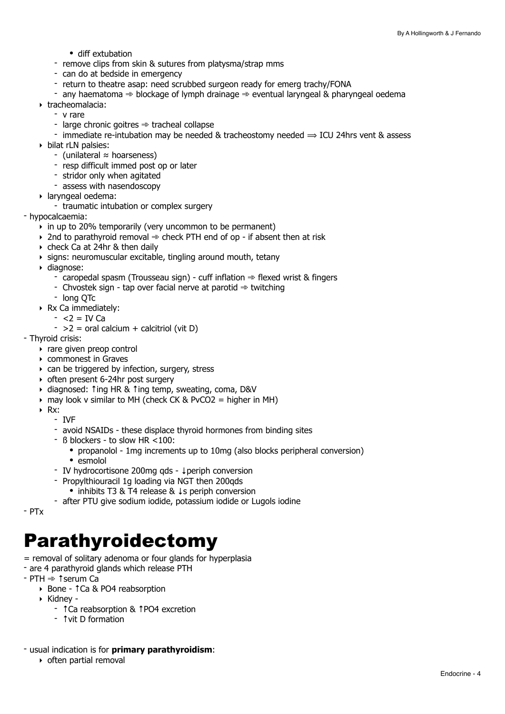- diff extubation
- remove clips from skin & sutures from platysma/strap mms
- can do at bedside in emergency
- return to theatre asap: need scrubbed surgeon ready for emerg trachy/FONA
- any haematoma  $\Rightarrow$  blockage of lymph drainage  $\Rightarrow$  eventual laryngeal & pharyngeal oedema
- ‣ tracheomalacia:
	- v rare
		- $-$  large chronic goitres  $\Rightarrow$  tracheal collapse
	- immediate re-intubation may be needed & tracheostomy needed  $\Rightarrow$  ICU 24hrs vent & assess
- ‣ bilat rLN palsies:
	- (unilateral ≈ hoarseness)
	- resp difficult immed post op or later
	- stridor only when agitated
	- assess with nasendoscopy
- ‣ laryngeal oedema:
- traumatic intubation or complex surgery
- hypocalcaemia:
	- ‣ in up to 20% temporarily (very uncommon to be permanent)
	- $\rightarrow$  2nd to parathyroid removal  $\Rightarrow$  check PTH end of op if absent then at risk
	- ‣ check Ca at 24hr & then daily
	- $\rightarrow$  signs: neuromuscular excitable, tingling around mouth, tetany
	- ‣ diagnose:
		- caropedal spasm (Trousseau sign) cuff inflation  $\Rightarrow$  flexed wrist & fingers
		- Chvostek sign tap over facial nerve at parotid  $\Rightarrow$  twitching
		- long QTc
	- ‣ Rx Ca immediately:
		- $< 2 = IV$  Ca
		- $-$  >2 = oral calcium + calcitriol (vit D)
- Thyroid crisis:
	- $\cdot$  rare given preop control
	- ‣ commonest in Graves
	- ‣ can be triggered by infection, surgery, stress
	- ‣ often present 6-24hr post surgery
	- ‣ diagnosed: ↑ing HR & ↑ing temp, sweating, coma, D&V
	- ‣ may look v similar to MH (check CK & PvCO2 = higher in MH)
	- ‣ Rx:
		- IVF
		- avoid NSAIDs these displace thyroid hormones from binding sites
		- ß blockers to slow HR <100:
			- propanolol 1mg increments up to 10mg (also blocks peripheral conversion)
			- esmolol
		- IV hydrocortisone 200mg qds ↓periph conversion
		- Propylthiouracil 1g loading via NGT then 200qds
			- inhibits T3 & T4 release & ↓s periph conversion
		- after PTU give sodium iodide, potassium iodide or Lugols iodine

- PTx

### <span id="page-3-0"></span>Parathyroidectomy

- = removal of solitary adenoma or four glands for hyperplasia
- are 4 parathyroid glands which release PTH
- PTH ➾ ↑serum Ca
	- ‣ Bone ↑Ca & PO4 reabsorption
	- ‣ Kidney
		- ↑Ca reabsorption & ↑PO4 excretion
		- ↑vit D formation
- usual indication is for **primary parathyroidism**:
	- ‣ often partial removal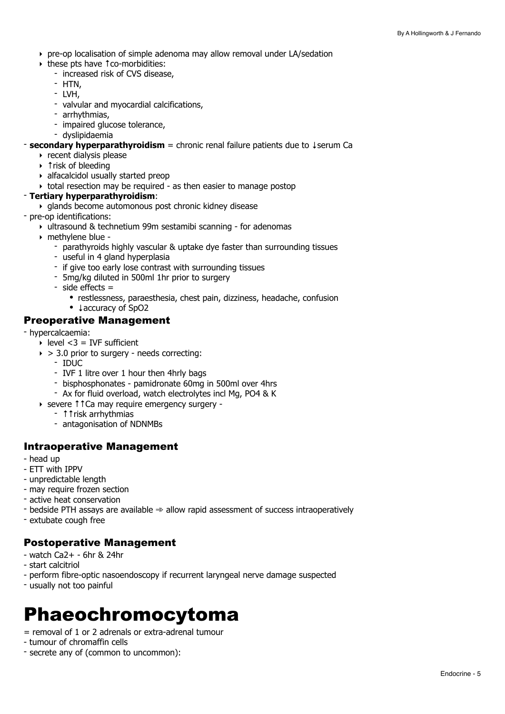- ‣ pre-op localisation of simple adenoma may allow removal under LA/sedation
- ‣ these pts have ↑co-morbidities:
	- increased risk of CVS disease,
	- HTN,
	- LVH,
	- valvular and myocardial calcifications,
	- arrhythmias,
	- impaired glucose tolerance,
	- dyslipidaemia
- **secondary hyperparathyroidism** = chronic renal failure patients due to ↓serum Ca
	- ‣ recent dialysis please
	- ‣ ↑risk of bleeding
	- $\rightarrow$  alfacalcidol usually started preop
	- ‣ total resection may be required as then easier to manage postop
- **Tertiary hyperparathyroidism**:
	- ‣ glands become automonous post chronic kidney disease
- pre-op identifications:
	- ‣ ultrasound & technetium 99m sestamibi scanning for adenomas
	- ‣ methylene blue
		- parathyroids highly vascular & uptake dye faster than surrounding tissues
		- useful in 4 gland hyperplasia
		- if give too early lose contrast with surrounding tissues
		- 5mg/kg diluted in 500ml 1hr prior to surgery
		- side effects =
			- restlessness, paraesthesia, chest pain, dizziness, headache, confusion
			- ↓accuracy of SpO2

#### Preoperative Management

- hypercalcaemia:
	- $\blacktriangleright$  level  $<$ 3 = IVF sufficient
	- $\rightarrow$  > 3.0 prior to surgery needs correcting:
		- IDUC
		- IVF 1 litre over 1 hour then 4hrly bags
		- bisphosphonates pamidronate 60mg in 500ml over 4hrs
		- Ax for fluid overload, watch electrolytes incl Mg, PO4 & K
	- ‣ severe ↑↑Ca may require emergency surgery
		- ↑↑risk arrhythmias
		- antagonisation of NDNMBs

#### Intraoperative Management

- head up
- ETT with IPPV
- unpredictable length
- may require frozen section
- active heat conservation
- bedside PTH assays are available ➾ allow rapid assessment of success intraoperatively
- extubate cough free

#### Postoperative Management

- watch Ca2+ 6hr & 24hr
- start calcitriol
- perform fibre-optic nasoendoscopy if recurrent laryngeal nerve damage suspected
- usually not too painful

## <span id="page-4-0"></span>Phaeochromocytoma

- = removal of 1 or 2 adrenals or extra-adrenal tumour
- tumour of chromaffin cells
- secrete any of (common to uncommon):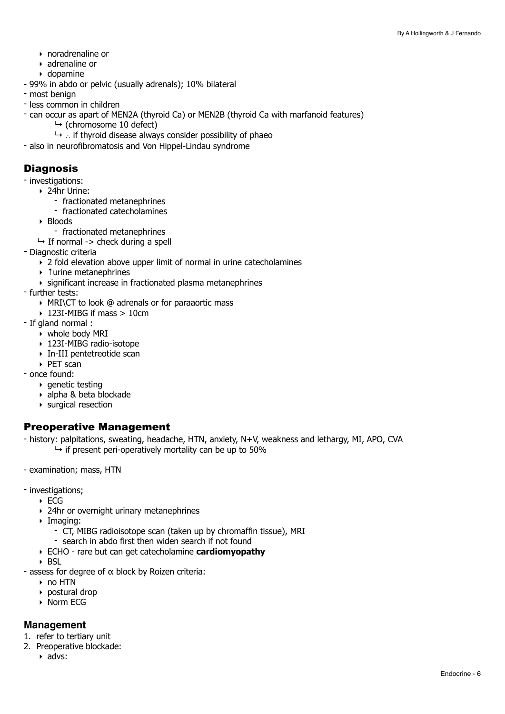- ‣ noradrenaline or
- ‣ adrenaline or
- ‣ dopamine
- 99% in abdo or pelvic (usually adrenals); 10% bilateral
- most benign
- less common in children
- can occur as apart of MEN2A (thyroid Ca) or MEN2B (thyroid Ca with marfanoid features)
	- $\mapsto$  (chromosome 10 defect)
	- ↳ ∴ if thyroid disease always consider possibility of phaeo
- also in neurofibromatosis and Von Hippel-Lindau syndrome

#### Diagnosis

- investigations:
	- ‣ 24hr Urine:
		- fractionated metanephrines
		- fractionated catecholamines
	- ‣ Bloods
		- fractionated metanephrines
	- $\rightarrow$  If normal -> check during a spell
- **-** Diagnostic criteria
	- ‣ 2 fold elevation above upper limit of normal in urine catecholamines
	- ‣ ↑urine metanephrines
	- ‣ significant increase in fractionated plasma metanephrines
- further tests:
	- ‣ MRI\CT to look @ adrenals or for paraaortic mass
	- ‣ 123I-MIBG if mass > 10cm
- If gland normal :
	- ‣ whole body MRI
	- ‣ 123I-MIBG radio-isotope
	- ‣ In-III pentetreotide scan
	- ‣ PET scan
- once found:
	- ‣ genetic testing
	- ‣ alpha & beta blockade
	- ‣ surgical resection

#### Preoperative Management

- history: palpitations, sweating, headache, HTN, anxiety, N+V, weakness and lethargy, MI, APO, CVA  $\rightarrow$  if present peri-operatively mortality can be up to 50%
- examination; mass, HTN

#### - investigations;

- $\triangleright$  ECG
- ‣ 24hr or overnight urinary metanephrines
- ‣ Imaging:
	- CT, MIBG radioisotope scan (taken up by chromaffin tissue), MRI
	- search in abdo first then widen search if not found
- ‣ ECHO rare but can get catecholamine **cardiomyopathy**
- ‣ BSL
- assess for degree of α block by Roizen criteria:
	- ‣ no HTN
	- ‣ postural drop
	- ‣ Norm ECG

#### **Management**

- 1. refer to tertiary unit
- 2. Preoperative blockade:
	- ‣ advs: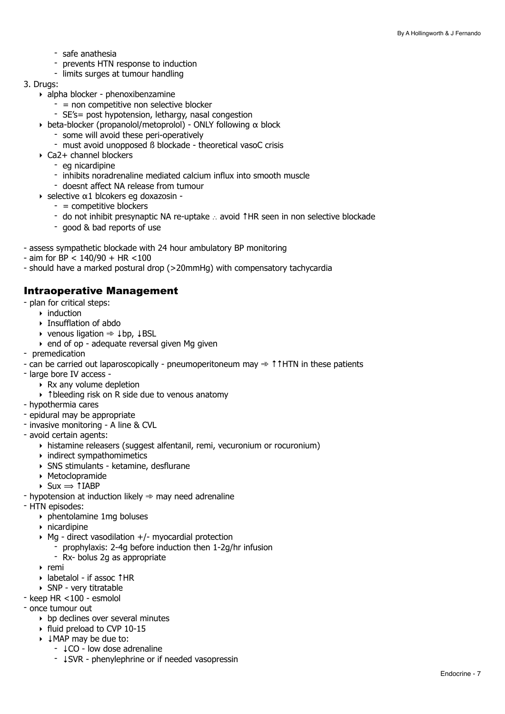- safe anathesia
- prevents HTN response to induction
- limits surges at tumour handling
- 3. Drugs:
	- $\rightarrow$  alpha blocker phenoxibenzamine
		- $-$  = non competitive non selective blocker
		- SE's= post hypotension, lethargy, nasal congestion
	- $\rightarrow$  beta-blocker (propanolol/metoprolol) ONLY following  $\alpha$  block
		- some will avoid these peri-operatively
		- must avoid unopposed ß blockade theoretical vasoC crisis
	- $\triangleright$  Ca<sub>2+</sub> channel blockers
		- eg nicardipine
		- inhibits noradrenaline mediated calcium influx into smooth muscle
		- doesnt affect NA release from tumour
	- ‣ selective α1 blcokers eg doxazosin
		- $-$  = competitive blockers
		- do not inhibit presynaptic NA re-uptake ∴ avoid ↑HR seen in non selective blockade
		- good & bad reports of use
- assess sympathetic blockade with 24 hour ambulatory BP monitoring
- $-$  aim for BP < 140/90  $+$  HR < 100
- should have a marked postural drop (>20mmHg) with compensatory tachycardia

#### Intraoperative Management

- plan for critical steps:
	- ‣ induction
	- ‣ Insufflation of abdo
	- ‣ venous ligation ➾ ↓bp, ↓BSL
	- ‣ end of op adequate reversal given Mg given
- premedication
- can be carried out laparoscopically pneumoperitoneum may ➾ ↑↑HTN in these patients
- large bore IV access
	- $\overline{\triangleright}$  Rx any volume depletion
	- ‣ ↑bleeding risk on R side due to venous anatomy
- hypothermia cares
- epidural may be appropriate
- invasive monitoring A line & CVL
- avoid certain agents:
	- ‣ histamine releasers (suggest alfentanil, remi, vecuronium or rocuronium)
	- ‣ indirect sympathomimetics
	- ‣ SNS stimulants ketamine, desflurane
	- ‣ Metoclopramide
	- ‣ Sux ⟹ ↑IABP
- hypotension at induction likely  $\Rightarrow$  may need adrenaline
- HTN episodes:
	- ‣ phentolamine 1mg boluses
	- ‣ nicardipine
	- ‣ Mg direct vasodilation +/- myocardial protection
		- prophylaxis: 2-4g before induction then 1-2g/hr infusion
		- Rx- bolus 2g as appropriate
	- ‣ remi
	- ‣ labetalol if assoc ↑HR
	- ‣ SNP very titratable
- keep HR <100 esmolol
- once tumour out
	- ‣ bp declines over several minutes
	- ‣ fluid preload to CVP 10-15
	- ‣ ↓MAP may be due to:
		- ↓CO low dose adrenaline
		- ↓SVR phenylephrine or if needed vasopressin